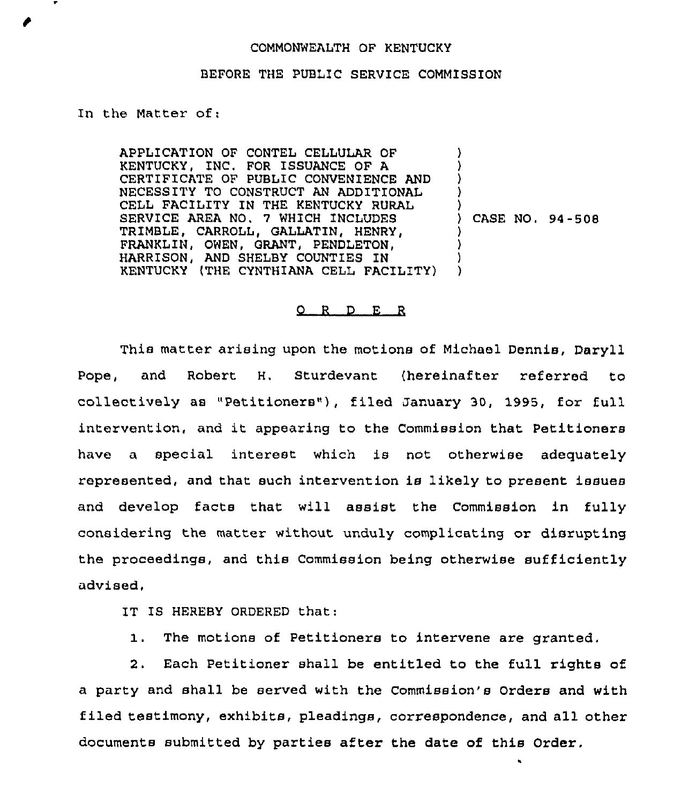## COMMONWEALTH OF KENTUCKY

## BEFORE THE PUBLIC SERVICE COMMISSION

In the Matter of:

APPLICATION OF CONTEL CELLULAR OF KENTUCKY, INC. FOR ISSUANCE OF A CERTIFICATE OF PUBLIC CONVENIENCE AND NECESSITY TO CONSTRUCT AN ADDITIONAL CELL FACILITY IN THE KENTUCKY RURAL SERVICE AREA NO. 7 WHICH INCLUDES TRIMBLE, CARROLL, GALLATIN, HENRY, FRANKLIN, OWEN, GRANT, PENDLETON, HARRISON, AND SHELBY COUNTIES IN KENTUCKY (THE CYNTHIANA CELL FACILITY) ) ) ) ) ) ) CASE NO. 94-508 ) ) ) )

## 0 <sup>R</sup> <sup>D</sup> E <sup>R</sup>

This matter arising upon the motions of Michael Dennis, Daryll Pope, and Robert H. Sturdevant (hereinafter referred to collectively as "Petitioners" ), filed January 30, 1995, for full intervention, and it appearing to the Commission that Petitioners have a special interest which is not otherwise adequately represented, and that such intervention is likely to present issues and develop facts that will assist the Commission in fully considering the matter without unduly complicating or disrupting the proceedings, and this Commission being otherwise sufficiently advised,

IT IS HEREBY ORDERED that:

1. The motions of Petitioners to intervene are granted.

2. Each Petitioner shall be entitled to the full rights of a party and shall be served with the Commission's Orders and with filed testimony, exhibits, pleadings, ccrrespondence, and all other documents submitted by parties after the date of this Order,